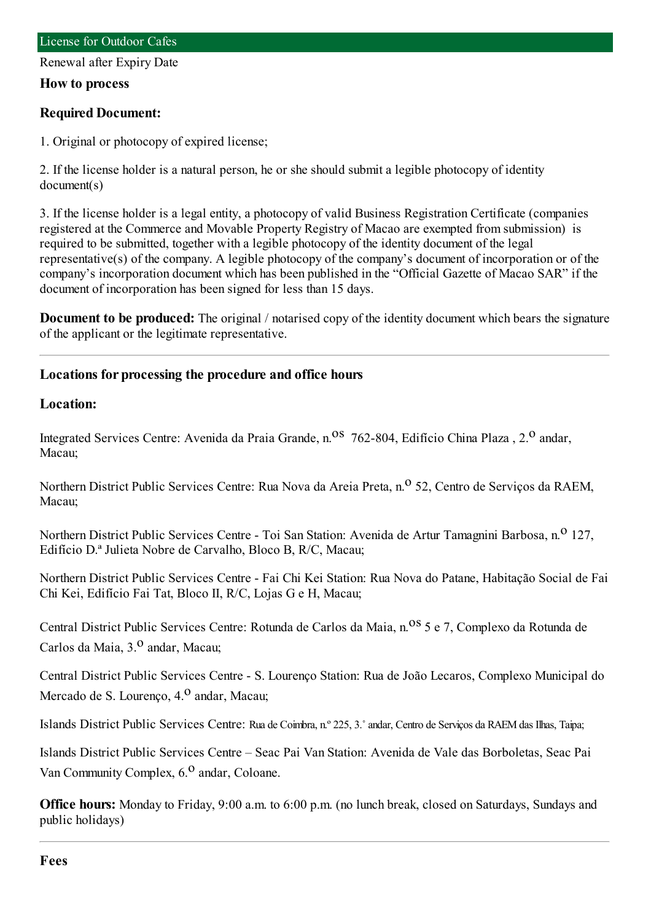Renewal after Expiry Date

#### **How to process**

### **Required Document:**

1. Original or photocopy of expired license;

2. If the license holder is a natural person, he or she should submit a legible photocopy of identity document(s)

3. If the license holder is a legal entity, a photocopy of valid Business Registration Certificate (companies registered at the Commerce and Movable Property Registry of Macao are exempted fromsubmission) is required to be submitted, together with a legible photocopy of the identity document of the legal representative(s) of the company. A legible photocopy of the company's document of incorporation or of the company's incorporation document which has been published in the "Official Gazette of Macao SAR" if the document of incorporation has been signed for less than 15 days.

**Document to be produced:** The original / notarised copy of the identity document which bears the signature of the applicant or the legitimate representative.

## **Locations for processing the procedure and office hours**

## **Location:**

Integrated Services Centre: Avenida da Praia Grande, n.<sup>08</sup> 762-804, Edifício China Plaza, 2.<sup>0</sup> andar, Macau;

Northern District Public Services Centre: Rua Nova da Areia Preta, n.<sup>o</sup> 52, Centro de Servicos da RAEM, Macau;

Northern District Public Services Centre - Toi San Station: Avenida de Artur Tamagnini Barbosa, n.<sup>0</sup> 127, Edifício D.ª Julieta Nobre de Carvalho, Bloco B, R/C, Macau;

Northern District Public Services Centre - Fai Chi Kei Station: Rua Nova do Patane, Habitação Social de Fai Chi Kei, Edifício Fai Tat, Bloco II, R/C, Lojas G e H, Macau;

Central District Public Services Centre: Rotunda de Carlos da Maia, n.<sup>08</sup> 5 e 7, Complexo da Rotunda de Carlos da Maia, 3.<sup>0</sup> andar, Macau;

Central District Public Services Centre - S. Lourenço Station: Rua de João Lecaros, Complexo Municipal do Mercado de S. Lourenço, 4.<sup>0</sup> andar, Macau;

Islands District Public Services Centre: Rua de Coimbra, n.º 225, 3.˚andar, Centro de Serviços da RAEMdas Ilhas, Taipa;

Islands District Public Services Centre – Seac Pai Van Station: Avenida de Vale das Borboletas, Seac Pai Van Community Complex,  $6<sup>0</sup>$  andar, Coloane.

**Office hours:** Monday to Friday, 9:00 a.m. to 6:00 p.m. (no lunch break, closed on Saturdays, Sundays and public holidays)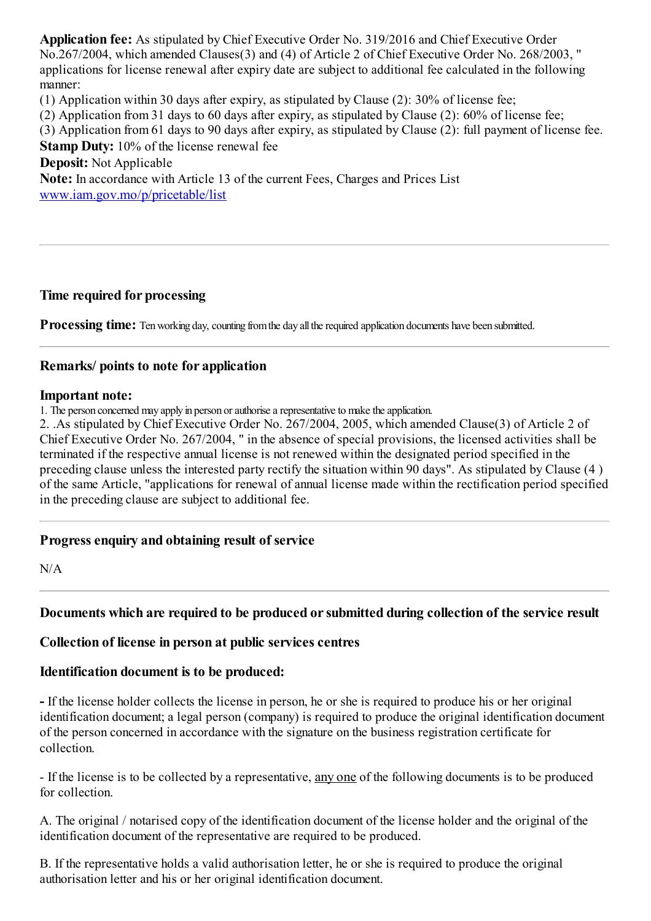**Application fee:** As stipulated by Chief Executive Order No. 319/2016 and Chief Executive Order No.267/2004, which amended Clauses(3) and (4) of Article 2 of Chief Executive Order No. 268/2003, " applications for license renewal after expiry date are subject to additional fee calculated in the following manner:

(1) Application within 30 days after expiry, as stipulated by Clause (2): 30% of license fee;

(2) Application from31 days to 60 days after expiry, as stipulated by Clause (2): 60% of license fee;

(3) Application from61 days to 90 days after expiry, as stipulated by Clause (2): full payment of license fee.

**Stamp Duty:** 10% of the license renewal fee

**Deposit:** Not Applicable

**Note:** In accordance with Article 13 of the current Fees, Charges and Prices List [www.iam.gov.mo/p/pricetable/list](http://www.iam.gov.mo/p/pricetable/list)

## **Time required for processing**

**Processing time:** Ten working day, counting from the day all the required application documents have been submitted.

## **Remarks/ points to note for application**

#### **Important note:**

1. The person concerned may apply in person or authorise a representative to make the application.

2. .As stipulated by Chief Executive Order No. 267/2004, 2005, which amended Clause(3) of Article 2 of Chief Executive Order No. 267/2004, " in the absence of special provisions, the licensed activities shall be terminated if the respective annual license is not renewed within the designated period specified in the preceding clause unless the interested party rectify the situation within 90 days". As stipulated by Clause (4 ) of the same Article, "applications for renewal of annual license made within the rectification period specified in the preceding clause are subject to additional fee.

## **Progressenquiry and obtaining result of service**

N/A

## **Documents which are required to be produced orsubmitted during collection of the service result**

## **Collection of license in person at public servicescentres**

#### **Identification document is to be produced:**

**-** If the license holder collects the license in person, he or she is required to produce his or her original identification document; a legal person (company) is required to produce the original identification document of the person concerned in accordance with the signature on the business registration certificate for collection.

- If the license is to be collected by a representative, any one of the following documents is to be produced for collection.

A. The original / notarised copy of the identification document of the license holder and the original of the identification document of the representative are required to be produced.

B. If the representative holds a valid authorisation letter, he or she is required to produce the original authorisation letter and his or her original identification document.